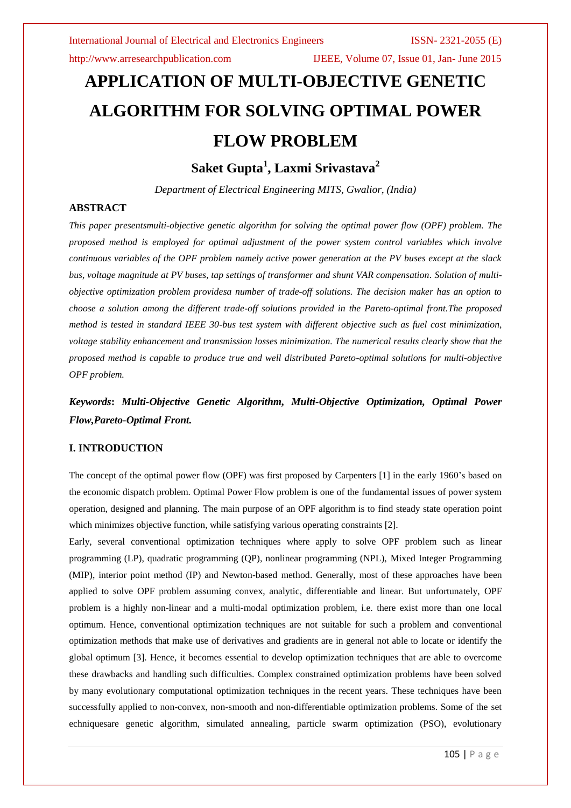http://www.arresearchpublication.com IJEEE, Volume 07, Issue 01, Jan- June 2015

# **APPLICATION OF MULTI-OBJECTIVE GENETIC ALGORITHM FOR SOLVING OPTIMAL POWER FLOW PROBLEM**

**Saket Gupta<sup>1</sup> , Laxmi Srivastava<sup>2</sup>**

*Department of Electrical Engineering MITS, Gwalior, (India)*

# **ABSTRACT**

*This paper presentsmulti-objective genetic algorithm for solving the optimal power flow (OPF) problem. The proposed method is employed for optimal adjustment of the power system control variables which involve continuous variables of the OPF problem namely active power generation at the PV buses except at the slack bus, voltage magnitude at PV buses, tap settings of transformer and shunt VAR compensation. Solution of multiobjective optimization problem providesa number of trade-off solutions. The decision maker has an option to choose a solution among the different trade-off solutions provided in the Pareto-optimal front.The proposed method is tested in standard IEEE 30-bus test system with different objective such as fuel cost minimization, voltage stability enhancement and transmission losses minimization. The numerical results clearly show that the proposed method is capable to produce true and well distributed Pareto-optimal solutions for multi-objective OPF problem.*

*Keywords***:** *Multi-Objective Genetic Algorithm, Multi-Objective Optimization, Optimal Power Flow,Pareto-Optimal Front.*

# **I. INTRODUCTION**

The concept of the optimal power flow (OPF) was first proposed by Carpenters [1] in the early 1960's based on the economic dispatch problem. Optimal Power Flow problem is one of the fundamental issues of power system operation, designed and planning. The main purpose of an OPF algorithm is to find steady state operation point which minimizes objective function, while satisfying various operating constraints [2].

Early, several conventional optimization techniques where apply to solve OPF problem such as linear programming (LP), quadratic programming (QP), nonlinear programming (NPL), Mixed Integer Programming (MIP), interior point method (IP) and Newton-based method. Generally, most of these approaches have been applied to solve OPF problem assuming convex, analytic, differentiable and linear. But unfortunately, OPF problem is a highly non-linear and a multi-modal optimization problem, i.e. there exist more than one local optimum. Hence, conventional optimization techniques are not suitable for such a problem and conventional optimization methods that make use of derivatives and gradients are in general not able to locate or identify the global optimum [3]. Hence, it becomes essential to develop optimization techniques that are able to overcome these drawbacks and handling such difficulties. Complex constrained optimization problems have been solved by many evolutionary computational optimization techniques in the recent years. These techniques have been successfully applied to non-convex, non-smooth and non-differentiable optimization problems. Some of the set echniquesare genetic algorithm, simulated annealing, particle swarm optimization (PSO), evolutionary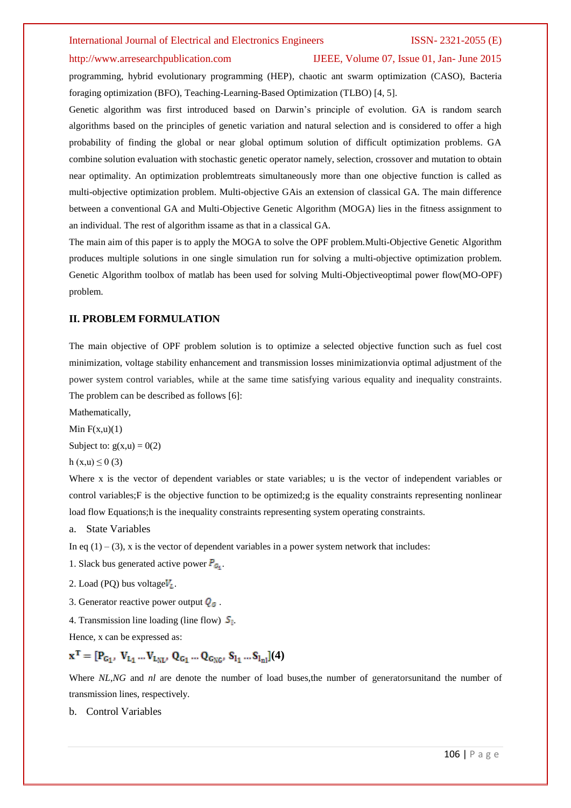#### http://www.arresearchpublication.com IJEEE, Volume 07, Issue 01, Jan- June 2015

programming, hybrid evolutionary programming (HEP), chaotic ant swarm optimization (CASO), Bacteria foraging optimization (BFO), Teaching-Learning-Based Optimization (TLBO) [4, 5].

Genetic algorithm was first introduced based on Darwin's principle of evolution. GA is random search algorithms based on the principles of genetic variation and natural selection and is considered to offer a high probability of finding the global or near global optimum solution of difficult optimization problems. GA combine solution evaluation with stochastic genetic operator namely, selection, crossover and mutation to obtain near optimality. An optimization problemtreats simultaneously more than one objective function is called as multi-objective optimization problem. Multi-objective GAis an extension of classical GA. The main difference between a conventional GA and Multi-Objective Genetic Algorithm (MOGA) lies in the fitness assignment to an individual. The rest of algorithm issame as that in a classical GA.

The main aim of this paper is to apply the MOGA to solve the OPF problem.Multi-Objective Genetic Algorithm produces multiple solutions in one single simulation run for solving a multi-objective optimization problem. Genetic Algorithm toolbox of matlab has been used for solving Multi-Objectiveoptimal power flow(MO-OPF) problem.

### **II. PROBLEM FORMULATION**

The main objective of OPF problem solution is to optimize a selected objective function such as fuel cost minimization, voltage stability enhancement and transmission losses minimizationvia optimal adjustment of the power system control variables, while at the same time satisfying various equality and inequality constraints. The problem can be described as follows [6]:

Mathematically,

Min  $F(x,u)(1)$ 

Subject to:  $g(x, u) = 0(2)$ 

h  $(x, u) \le 0$  (3)

Where x is the vector of dependent variables or state variables; u is the vector of independent variables or control variables;F is the objective function to be optimized;g is the equality constraints representing nonlinear load flow Equations;h is the inequality constraints representing system operating constraints.

a. State Variables

In eq  $(1) - (3)$ , x is the vector of dependent variables in a power system network that includes:

- 1. Slack bus generated active power  $P_G$ .
- 2. Load (PO) bus voltage $V_t$ .
- 3. Generator reactive power output  $Q_G$ .
- 4. Transmission line loading (line flow)  $S_l$ .

Hence, x can be expressed as:

$$
\mathbf{x}^T = [P_{G_1}, V_{L_1} \dots V_{L_{NL}}, Q_{G_1} \dots Q_{G_{NC}}, S_{l_1} \dots S_{l_{nl}}](4)
$$

Where *NL*,*NG* and *nl* are denote the number of load buses, the number of generatorsunitand the number of transmission lines, respectively.

b. Control Variables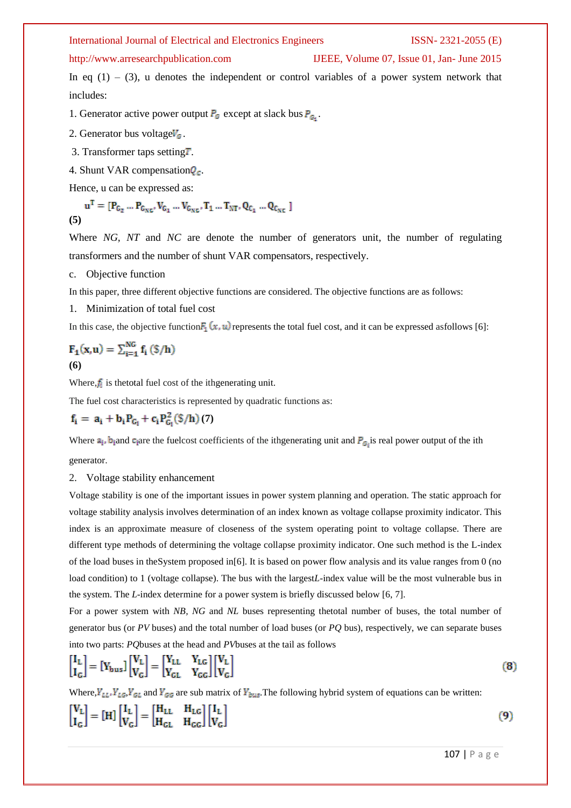### http://www.arresearchpublication.com IJEEE, Volume 07, Issue 01, Jan- June 2015

In eq  $(1) - (3)$ , u denotes the independent or control variables of a power system network that includes:

1. Generator active power output  $P_G$  except at slack bus  $P_{G_1}$ .

2. Generator bus voltage $V_c$ .

3. Transformer taps setting $T$ .

4. Shunt VAR compensation  $Q_c$ .

Hence, u can be expressed as:

$$
\mathbf{u}^{\mathrm{T}} = [\mathbf{P}_{G_2} \dots \mathbf{P}_{G_{NC}} \, V_{G_1} \dots V_{G_{NC}} \, \mathbf{T}_1 \dots \mathbf{T}_{NT} \, Q_{C_1} \dots Q_{C_{NC}} ]
$$
\n(5)

Where *NG*, *NT* and *NC* are denote the number of generators unit, the number of regulating transformers and the number of shunt VAR compensators, respectively.

c. Objective function

In this paper, three different objective functions are considered. The objective functions are as follows:

1. Minimization of total fuel cost

In this case, the objective function  $F_1(x, u)$  represents the total fuel cost, and it can be expressed asfollows [6]:

$$
\mathbf{F}_1(\mathbf{x}, \mathbf{u}) = \sum_{i=1}^{NG} \mathbf{f}_i \left( \frac{\mathbf{x}}{h} \right)
$$
  
(6)

Where, $f_i$  is the total fuel cost of the ith generating unit.

The fuel cost characteristics is represented by quadratic functions as:

$$
\mathbf{f}_i = \mathbf{a}_i + \mathbf{b}_i \mathbf{P}_{G_i} + \mathbf{c}_i \mathbf{P}_{G_i}^2(\mathbf{\$}/\mathbf{h}) \tag{7}
$$

Where  $a_i$ ,  $b_i$  and  $c_i$  are the fuelcost coefficients of the ithgenerating unit and  $P_{G_i}$  is real power output of the ith

generator.

2. Voltage stability enhancement

Voltage stability is one of the important issues in power system planning and operation. The static approach for voltage stability analysis involves determination of an index known as voltage collapse proximity indicator. This index is an approximate measure of closeness of the system operating point to voltage collapse. There are different type methods of determining the voltage collapse proximity indicator. One such method is the L-index of the load buses in theSystem proposed in[6]. It is based on power flow analysis and its value ranges from 0 (no load condition) to 1 (voltage collapse). The bus with the largest*L*-index value will be the most vulnerable bus in the system. The *L*-index determine for a power system is briefly discussed below [6, 7].

For a power system with *NB*, *NG* and *NL* buses representing thetotal number of buses, the total number of generator bus (or *PV* buses) and the total number of load buses (or *PQ* bus), respectively, we can separate buses into two parts: *PQ*buses at the head and *PV*buses at the tail as follows

$$
\begin{bmatrix} I_L \\ I_G \end{bmatrix} = \begin{bmatrix} Y_{bus} \end{bmatrix} \begin{bmatrix} V_L \\ V_G \end{bmatrix} = \begin{bmatrix} Y_{LL} & Y_{LG} \\ Y_{GL} & Y_{GG} \end{bmatrix} \begin{bmatrix} V_L \\ V_G \end{bmatrix} \tag{8}
$$

Where,  $Y_{LL}$ ,  $Y_{LG}$ ,  $Y_{GL}$  and  $Y_{GG}$  are sub matrix of  $Y_{bus}$ . The following hybrid system of equations can be written:

$$
\begin{bmatrix} V_L \\ I_G \end{bmatrix} = \begin{bmatrix} H \end{bmatrix} \begin{bmatrix} I_L \\ V_G \end{bmatrix} = \begin{bmatrix} H_{LL} & H_{LG} \\ H_{GL} & H_{GG} \end{bmatrix} \begin{bmatrix} I_L \\ V_G \end{bmatrix}
$$

107 | P a g e

 $(9)$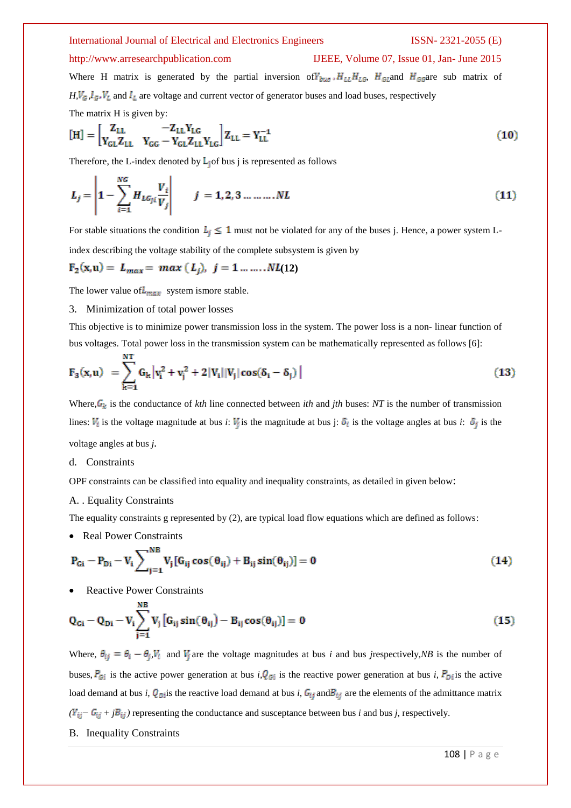# http://www.arresearchpublication.com IJEEE, Volume 07, Issue 01, Jan- June 2015

Where H matrix is generated by the partial inversion of  $V_{bus}$ ,  $H_{LL}H_{LG}$ ,  $H_{GL}$  and  $H_{GG}$  are sub matrix of  $H, V_G, I_G, V_L$  and  $I_L$  are voltage and current vector of generator buses and load buses, respectively The matrix H is given by:

$$
[H] = \begin{bmatrix} Z_{LL} & -Z_{LL}Y_{LG} \\ Y_{GL}Z_{LL} & Y_{GG} - Y_{GL}Z_{LL}Y_{LG} \end{bmatrix} Z_{LL} = Y_{LL}^{-1}
$$
(10)

Therefore, the L-index denoted by  $\mathsf{L}_i$  of bus j is represented as follows

$$
L_j = \left| 1 - \sum_{i=1}^{NG} H_{LG_{ji}} \frac{V_i}{V_j} \right| \qquad j = 1, 2, 3 \dots \dots \dots NL \tag{11}
$$

For stable situations the condition  $L_j \leq 1$  must not be violated for any of the buses j. Hence, a power system Lindex describing the voltage stability of the complete subsystem is given by

$$
F_2(x,u) = L_{max} = max (L_j), j = 1, ..., NL(12)
$$

The lower value of  $L_{max}$  system ismore stable.

# 3. Minimization of total power losses

This objective is to minimize power transmission loss in the system. The power loss is a non- linear function of bus voltages. Total power loss in the transmission system can be mathematically represented as follows [6]:

$$
F_3(x, u) = \sum_{k=1}^{NT} G_k |v_i^2 + v_j^2 + 2|V_i||V_j|\cos(\delta_i - \delta_j)|
$$
\n(13)

Where,  $G_k$  is the conductance of *kth* line connected between *ith* and *jth* buses: *NT* is the number of transmission lines:  $V_i$  is the voltage magnitude at bus *i*:  $V_j$  is the magnitude at bus j:  $\delta_i$  is the voltage angles at bus *i*:  $\delta_j$  is the voltage angles at bus *j.*

# d. Constraints

OPF constraints can be classified into equality and inequality constraints, as detailed in given below:

# A. . Equality Constraints

The equality constraints g represented by (2), are typical load flow equations which are defined as follows:

• Real Power Constraints

$$
P_{Gi} - P_{Di} - V_i \sum_{j=1}^{NB} V_j [G_{ij} \cos(\theta_{ij}) + B_{ij} \sin(\theta_{ij})] = 0
$$
 (14)

Reactive Power Constraints

$$
Q_{Gi} - Q_{Di} - V_i \sum_{j=1}^{NB} V_j \left[ G_{ij} \sin(\theta_{ij}) - B_{ij} \cos(\theta_{ij}) \right] = 0 \qquad (15)
$$

Where,  $\theta_{ij} = \theta_i - \theta_j$ ,  $V_i$  and  $V_j$  are the voltage magnitudes at bus *i* and bus *j*respectively, *NB* is the number of buses,  $P_{\text{G}i}$  is the active power generation at bus *i*,  $Q_{\text{G}i}$  is the reactive power generation at bus *i*,  $P_{\text{D}i}$  is the active load demand at bus *i*,  $Q_{Di}$  is the reactive load demand at bus *i*,  $G_{ij}$  and  $B_{ij}$  are the elements of the admittance matrix  $(Y_{ij} - G_{ij} + jB_{ij})$  representing the conductance and susceptance between bus *i* and bus *j*, respectively.

B. Inequality Constraints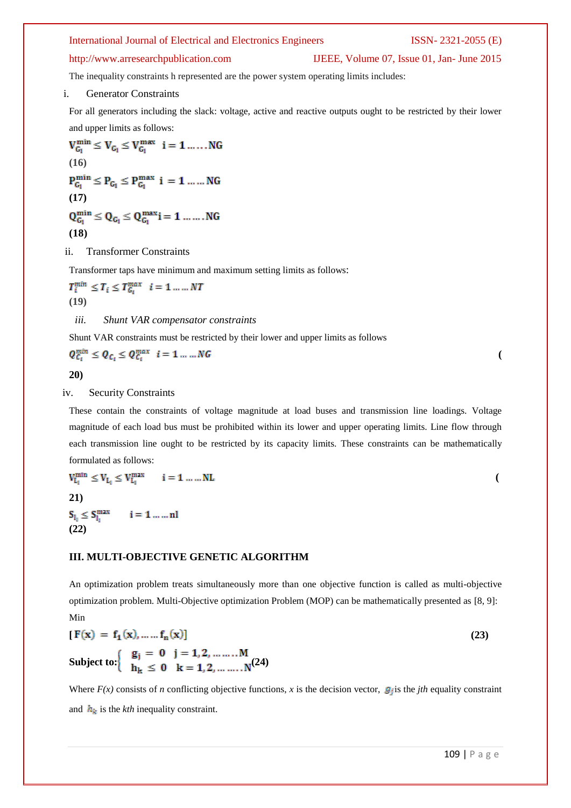# http://www.arresearchpublication.com IJEEE, Volume 07, Issue 01, Jan- June 2015

The inequality constraints h represented are the power system operating limits includes:

### i. Generator Constraints

For all generators including the slack: voltage, active and reactive outputs ought to be restricted by their lower and upper limits as follows:

 $V_{G_1}^{min} \leq V_{G_1} \leq V_{G_1}^{max} \hspace{2mm} i=1\ldots\ldots NG$ **(16)**   $P_{G_1}^{\min} \leq P_{G_1} \leq P_{G_1}^{\max} \ i \ = \ 1 \ \ldots \ldots NG$ **(17)**  $Q^{min}_{G_1} \leq Q_{G_1} \leq Q^{max}_{G_1} i = 1\,\dots\ldots\textup{.} NG$ **(18)**

#### ii. Transformer Constraints

Transformer taps have minimum and maximum setting limits as follows:

 $T_i^{min} \leq T_i \leq T_{G_i}^{max}$   $i = 1 \ldots \ldots NT$ **(19)**

*iii. Shunt VAR compensator constraints*

Shunt VAR constraints must be restricted by their lower and upper limits as follows

$$
Q_{\mathcal{C}_l}^{min} \leq Q_{\mathcal{C}_l} \leq Q_{\mathcal{C}_l}^{max} \quad i = 1 \dots M G
$$

**20)**

### iv. Security Constraints

These contain the constraints of voltage magnitude at load buses and transmission line loadings. Voltage magnitude of each load bus must be prohibited within its lower and upper operating limits. Line flow through each transmission line ought to be restricted by its capacity limits. These constraints can be mathematically formulated as follows:

$$
V_{L_1}^{min} \le V_{L_1} \le V_{L_1}^{max} \qquad i = 1 \dots ... NL
$$
  
(21)

 $S_{l_1} \leq S_{l_1}^{\max}$   $i = 1 ... ... n!$ <br>(22)

# **III. MULTI-OBJECTIVE GENETIC ALGORITHM**

An optimization problem treats simultaneously more than one objective function is called as multi-objective optimization problem. Multi-Objective optimization Problem (MOP) can be mathematically presented as [8, 9]: Min

$$
[F(x) = f_1(x), \dots, f_n(x)]
$$
  
\nSubject to: 
$$
\begin{cases} g_j = 0 & j = 1, 2, \dots, M \\ h_k \le 0 & k = 1, 2, \dots, N \end{cases}
$$
 (23)

Where  $F(x)$  consists of *n* conflicting objective functions, *x* is the decision vector,  $g_i$  is the *jth* equality constraint and  $h_k$  is the *kth* inequality constraint.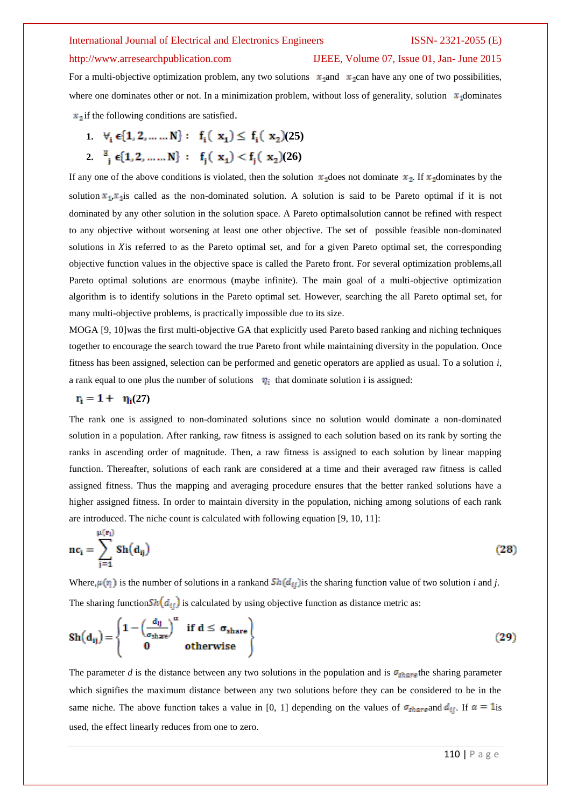#### http://www.arresearchpublication.com IJEEE, Volume 07, Issue 01, Jan- June 2015

For a multi-objective optimization problem, any two solutions  $x_1$  and  $x_2$  can have any one of two possibilities, where one dominates other or not. In a minimization problem, without loss of generality, solution  $x_1$  dominates  $x_2$  if the following conditions are satisfied.

- **1.**  $\forall$ <sub>i</sub>  $\in$  {1, 2, ... ... N} : **f**<sub>i</sub>( $\mathbf{x}_1$ )  $\leq$  **f**<sub>i</sub>( $\mathbf{x}_2$ )(25)
- 2.  $\frac{a}{i} \epsilon \{1, 2, ..., N\} : f_i(x_1) < f_i(x_2)(26)$

If any one of the above conditions is violated, then the solution  $x_1$  does not dominate  $x_2$ . If  $x_2$  dominates by the solution  $x_1, x_1$  is called as the non-dominated solution. A solution is said to be Pareto optimal if it is not dominated by any other solution in the solution space. A Pareto optimalsolution cannot be refined with respect to any objective without worsening at least one other objective. The set of possible feasible non-dominated solutions in X is referred to as the Pareto optimal set, and for a given Pareto optimal set, the corresponding objective function values in the objective space is called the Pareto front. For several optimization problems,all Pareto optimal solutions are enormous (maybe infinite). The main goal of a multi-objective optimization algorithm is to identify solutions in the Pareto optimal set. However, searching the all Pareto optimal set, for many multi-objective problems, is practically impossible due to its size.

MOGA [9, 10]was the first multi-objective GA that explicitly used Pareto based ranking and niching techniques together to encourage the search toward the true Pareto front while maintaining diversity in the population. Once fitness has been assigned, selection can be performed and genetic operators are applied as usual. To a solution *i*, a rank equal to one plus the number of solutions  $\eta_i$  that dominate solution i is assigned:

# ${\bf r}_i = 1 + {\bf \eta}_i(27)$

The rank one is assigned to non-dominated solutions since no solution would dominate a non-dominated solution in a population. After ranking, raw fitness is assigned to each solution based on its rank by sorting the ranks in ascending order of magnitude. Then, a raw fitness is assigned to each solution by linear mapping function. Thereafter, solutions of each rank are considered at a time and their averaged raw fitness is called assigned fitness. Thus the mapping and averaging procedure ensures that the better ranked solutions have a higher assigned fitness. In order to maintain diversity in the population, niching among solutions of each rank are introduced. The niche count is calculated with following equation [9, 10, 11]:

$$
nc_i = \sum_{j=1}^{\mu(r_i)} Sh(d_{ij})
$$
\n(28)

Where,  $\mu(r_i)$  is the number of solutions in a rankand  $\frac{Sh(d_{ij})}{s}$  is the sharing function value of two solution *i* and *j*. The sharing function  $\mathcal{S}_h(d_{ij})$  is calculated by using objective function as distance metric as:

$$
Sh(d_{ij}) = \begin{cases} 1 - \left(\frac{d_{ij}}{\sigma_{share}}\right)^{\alpha} & \text{if } d \le \sigma_{share} \\ 0 & \text{otherwise} \end{cases}
$$
 (29)

The parameter *d* is the distance between any two solutions in the population and is  $\sigma_{\text{sharp}}$  the sharing parameter which signifies the maximum distance between any two solutions before they can be considered to be in the same niche. The above function takes a value in [0, 1] depending on the values of  $\sigma_{share}$  and  $d_{ij}$ . If  $\alpha = 1$ is used, the effect linearly reduces from one to zero.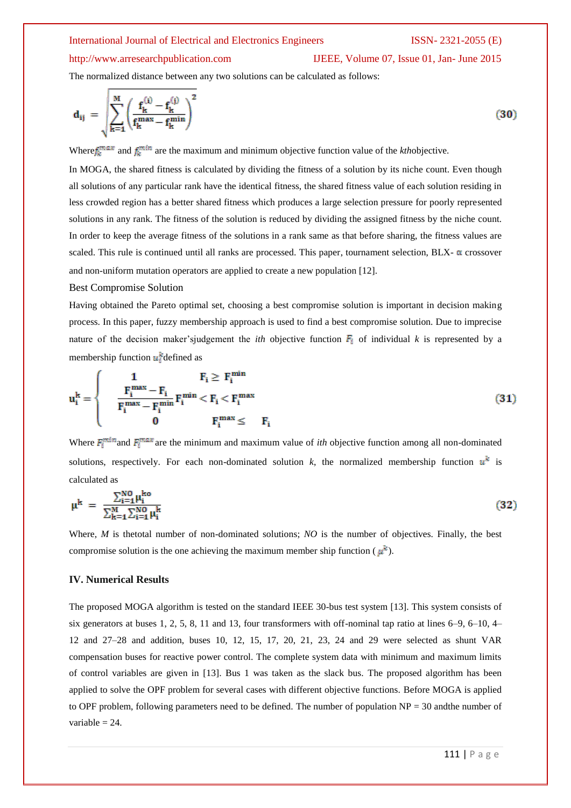# http://www.arresearchpublication.com IJEEE, Volume 07, Issue 01, Jan- June 2015

The normalized distance between any two solutions can be calculated as follows:

$$
d_{ij} = \sqrt{\sum_{k=1}^{M} \left( \frac{f_k^{(i)} - f_k^{(j)}}{f_k^{max} - f_k^{min}} \right)^2}
$$
(30)

Where  $f_k^{\text{max}}$  and  $f_k^{\text{min}}$  are the maximum and minimum objective function value of the *kthobiective*.

In MOGA, the shared fitness is calculated by dividing the fitness of a solution by its niche count. Even though all solutions of any particular rank have the identical fitness, the shared fitness value of each solution residing in less crowded region has a better shared fitness which produces a large selection pressure for poorly represented solutions in any rank. The fitness of the solution is reduced by dividing the assigned fitness by the niche count. In order to keep the average fitness of the solutions in a rank same as that before sharing, the fitness values are scaled. This rule is continued until all ranks are processed. This paper, tournament selection,  $BLX$ - $\alpha$  crossover and non-uniform mutation operators are applied to create a new population [12].

### Best Compromise Solution

Having obtained the Pareto optimal set, choosing a best compromise solution is important in decision making process. In this paper, fuzzy membership approach is used to find a best compromise solution. Due to imprecise nature of the decision maker'sjudgement the *ith* objective function  $\vec{F_i}$  of individual *k* is represented by a membership function  $u_i^k$  defined as

$$
u_i^k = \begin{cases} & 1 & F_i \ge F_i^{\min} \\ & \frac{F_i^{\max} - F_i}{F_i^{\max} - F_i^{\min}} F_i^{\min} < F_i < F_i^{\max} \\ & 0 & F_i^{\max} \leq & F_i \end{cases} \tag{31}
$$

Where  $F_i^{\text{min}}$  and  $F_i^{\text{max}}$  are the minimum and maximum value of *ith* objective function among all non-dominated solutions, respectively. For each non-dominated solution  $k$ , the normalized membership function  $u^k$  is calculated as

$$
\mu^{k} = \frac{\sum_{i=1}^{NO} \mu_{i}^{ko}}{\sum_{k=1}^{M} \sum_{i=1}^{NO} \mu_{i}^{k}}
$$
(32)

Where, *M* is thetotal number of non-dominated solutions; *NO* is the number of objectives. Finally, the best compromise solution is the one achieving the maximum member ship function ( $\mu^k$ ).

### **IV. Numerical Results**

The proposed MOGA algorithm is tested on the standard IEEE 30-bus test system [13]. This system consists of six generators at buses 1, 2, 5, 8, 11 and 13, four transformers with off-nominal tap ratio at lines 6–9, 6–10, 4– 12 and 27–28 and addition, buses 10, 12, 15, 17, 20, 21, 23, 24 and 29 were selected as shunt VAR compensation buses for reactive power control. The complete system data with minimum and maximum limits of control variables are given in [13]. Bus 1 was taken as the slack bus. The proposed algorithm has been applied to solve the OPF problem for several cases with different objective functions. Before MOGA is applied to OPF problem, following parameters need to be defined. The number of population  $NP = 30$  andthe number of variable  $= 24$ .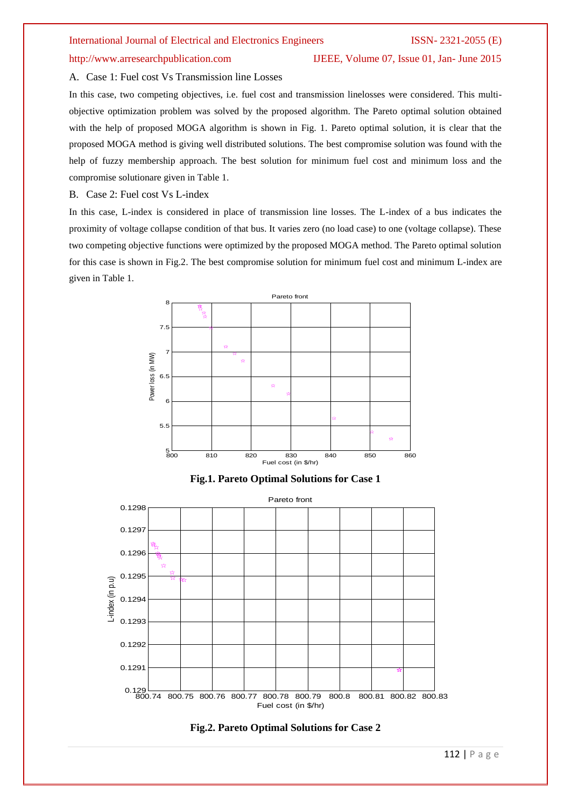### http://www.arresearchpublication.com IJEEE, Volume 07, Issue 01, Jan- June 2015

A. Case 1: Fuel cost Vs Transmission line Losses

In this case, two competing objectives, i.e. fuel cost and transmission linelosses were considered. This multiobjective optimization problem was solved by the proposed algorithm. The Pareto optimal solution obtained with the help of proposed MOGA algorithm is shown in Fig. 1. Pareto optimal solution, it is clear that the proposed MOGA method is giving well distributed solutions. The best compromise solution was found with the help of fuzzy membership approach. The best solution for minimum fuel cost and minimum loss and the compromise solutionare given in Table 1.

### B. Case 2: Fuel cost Vs L-index

In this case, L-index is considered in place of transmission line losses. The L-index of a bus indicates the proximity of voltage collapse condition of that bus. It varies zero (no load case) to one (voltage collapse). These two competing objective functions were optimized by the proposed MOGA method. The Pareto optimal solution for this case is shown in Fig.2. The best compromise solution for minimum fuel cost and minimum L-index are given in Table 1.



**Fig.1. Pareto Optimal Solutions for Case 1**



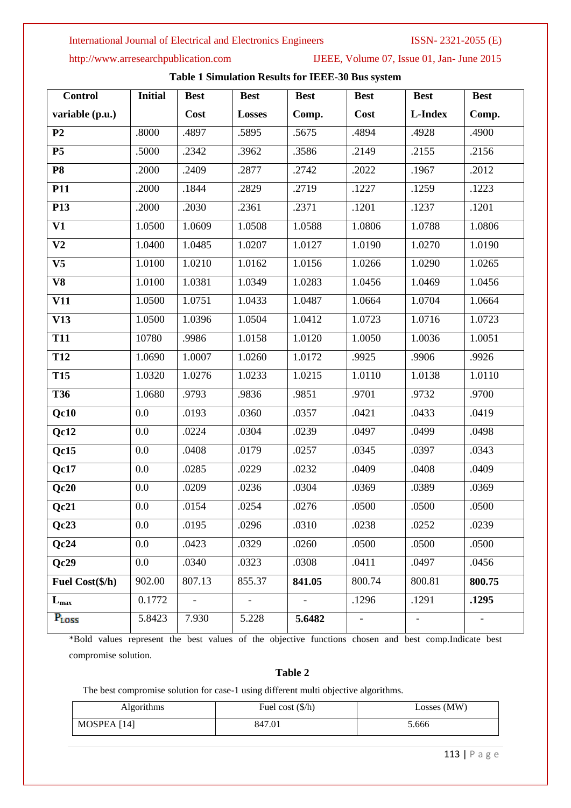http://www.arresearchpublication.com IJEEE, Volume 07, Issue 01, Jan- June 2015

| <b>Control</b>  | <b>Initial</b> | <b>Best</b>    | <b>Best</b>    | <b>Best</b>    | <b>Best</b>       | <b>Best</b> | <b>Best</b> |
|-----------------|----------------|----------------|----------------|----------------|-------------------|-------------|-------------|
| variable (p.u.) |                | Cost           | <b>Losses</b>  | Comp.          | Cost              | L-Index     | Comp.       |
| P <sub>2</sub>  | .8000          | .4897          | .5895          | .5675          | .4894             | .4928       | .4900       |
| P <sub>5</sub>  | .5000          | .2342          | .3962          | .3586          | .2149             | .2155       | .2156       |
| <b>P8</b>       | .2000          | .2409          | .2877          | .2742          | .2022             | .1967       | .2012       |
| P11             | .2000          | .1844          | .2829          | .2719          | .1227             | .1259       | .1223       |
| P <sub>13</sub> | .2000          | .2030          | .2361          | .2371          | .1201             | .1237       | .1201       |
| V1              | 1.0500         | 1.0609         | 1.0508         | 1.0588         | 1.0806            | 1.0788      | 1.0806      |
| V <sub>2</sub>  | 1.0400         | 1.0485         | 1.0207         | 1.0127         | 1.0190            | 1.0270      | 1.0190      |
| V <sub>5</sub>  | 1.0100         | 1.0210         | 1.0162         | 1.0156         | 1.0266            | 1.0290      | 1.0265      |
| V8              | 1.0100         | 1.0381         | 1.0349         | 1.0283         | 1.0456            | 1.0469      | 1.0456      |
| <b>V11</b>      | 1.0500         | 1.0751         | 1.0433         | 1.0487         | 1.0664            | 1.0704      | 1.0664      |
| V13             | 1.0500         | 1.0396         | 1.0504         | 1.0412         | 1.0723            | 1.0716      | 1.0723      |
| <b>T11</b>      | 10780          | .9986          | 1.0158         | 1.0120         | 1.0050            | 1.0036      | 1.0051      |
| T <sub>12</sub> | 1.0690         | 1.0007         | 1.0260         | 1.0172         | .9925             | .9906       | .9926       |
| <b>T15</b>      | 1.0320         | 1.0276         | 1.0233         | 1.0215         | 1.0110            | 1.0138      | 1.0110      |
| <b>T36</b>      | 1.0680         | .9793          | .9836          | .9851          | .9701             | .9732       | .9700       |
| Qc10            | 0.0            | .0193          | .0360          | .0357          | .0421             | .0433       | .0419       |
| Qc12            | 0.0            | .0224          | .0304          | .0239          | .0497             | .0499       | .0498       |
| Qc15            | 0.0            | .0408          | .0179          | .0257          | .0345             | .0397       | .0343       |
| Qc17            | 0.0            | .0285          | .0229          | .0232          | .0409             | .0408       | .0409       |
| Qc20            | 0.0            | .0209          | .0236          | .0304          | .0369             | .0389       | .0369       |
| Qc21            | 0.0            | .0154          | .0254          | .0276          | .0500             | .0500       | .0500       |
| Qc23            | 0.0            | .0195          | .0296          | .0310          | .0238             | .0252       | .0239       |
| Qc24            | 0.0            | .0423          | .0329          | .0260          | .0500             | .0500       | .0500       |
| Qc29            | 0.0            | .0340          | .0323          | .0308          | .0411             | .0497       | .0456       |
| Fuel Cost(\$/h) | 902.00         | 807.13         | 855.37         | 841.05         | 800.74            | 800.81      | 800.75      |
| $L_{\rm max}$   | 0.1772         | $\blacksquare$ | $\blacksquare$ | $\blacksquare$ | .1296             | .1291       | .1295       |
| PLOSS           | 5.8423         | 7.930          | 5.228          | 5.6482         | $\qquad \qquad -$ |             |             |

# **Table 1 Simulation Results for IEEE-30 Bus system**

\*Bold values represent the best values of the objective functions chosen and best comp.Indicate best compromise solution.

# **Table 2**

The best compromise solution for case-1 using different multi objective algorithms.

| <b>Algorithms</b> | Fuel cost $(\frac{5}{h})$ | Losses (MW) |
|-------------------|---------------------------|-------------|
| MOSPEA [14]       | 847.01                    | 5.666       |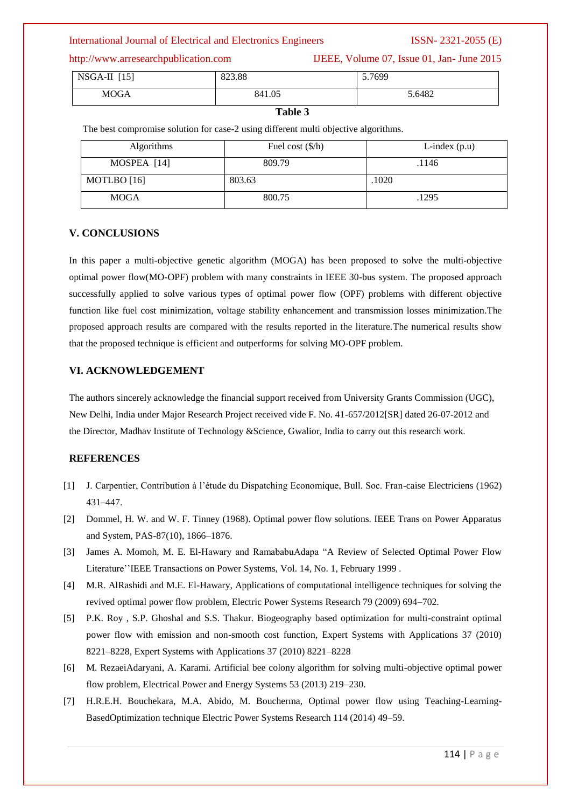http://www.arresearchpublication.com IJEEE, Volume 07, Issue 01, Jan- June 2015

| NSGA-II<br>[15] | 823.88 | 5.7699 |
|-----------------|--------|--------|
| <b>MOGA</b>     | 841.05 | 5.6482 |

# **Table 3**

The best compromise solution for case-2 using different multi objective algorithms.

| <b>Algorithms</b> | Fuel cost $(\frac{6}{h})$ | L-index $(p.u)$ |
|-------------------|---------------------------|-----------------|
| MOSPEA [14]       | 809.79                    | .1146           |
| MOTLBO [16]       | 803.63                    | .1020           |
| MOGA              | 800.75                    | .1295           |

## **V. CONCLUSIONS**

In this paper a multi-objective genetic algorithm (MOGA) has been proposed to solve the multi-objective optimal power flow(MO-OPF) problem with many constraints in IEEE 30-bus system. The proposed approach successfully applied to solve various types of optimal power flow (OPF) problems with different objective function like fuel cost minimization, voltage stability enhancement and transmission losses minimization.The proposed approach results are compared with the results reported in the literature.The numerical results show that the proposed technique is efficient and outperforms for solving MO-OPF problem.

## **VI. ACKNOWLEDGEMENT**

The authors sincerely acknowledge the financial support received from University Grants Commission (UGC), New Delhi, India under Major Research Project received vide F. No. 41-657/2012[SR] dated 26-07-2012 and the Director, Madhav Institute of Technology &Science, Gwalior, India to carry out this research work.

# **REFERENCES**

- [1] J. Carpentier, Contribution à l'étude du Dispatching Economique, Bull. Soc. Fran-caise Electriciens (1962) 431–447.
- [2] Dommel, H. W. and W. F. Tinney (1968). Optimal power flow solutions. IEEE Trans on Power Apparatus and System, PAS-87(10), 1866–1876.
- [3] James A. Momoh, M. E. El-Hawary and RamababuAdapa "A Review of Selected Optimal Power Flow Literature''IEEE Transactions on Power Systems, Vol. 14, No. 1, February 1999 .
- [4] M.R. AlRashidi and M.E. El-Hawary, Applications of computational intelligence techniques for solving the revived optimal power flow problem, Electric Power Systems Research 79 (2009) 694–702.
- [5] P.K. Roy , S.P. Ghoshal and S.S. Thakur. Biogeography based optimization for multi-constraint optimal power flow with emission and non-smooth cost function, Expert Systems with Applications 37 (2010) 8221–8228, Expert Systems with Applications 37 (2010) 8221–8228
- [6] M. RezaeiAdaryani, A. Karami. Artificial bee colony algorithm for solving multi-objective optimal power flow problem, Electrical Power and Energy Systems 53 (2013) 219–230.
- [7] H.R.E.H. Bouchekara, M.A. Abido, M. Boucherma, Optimal power flow using Teaching-Learning-BasedOptimization technique Electric Power Systems Research 114 (2014) 49–59.